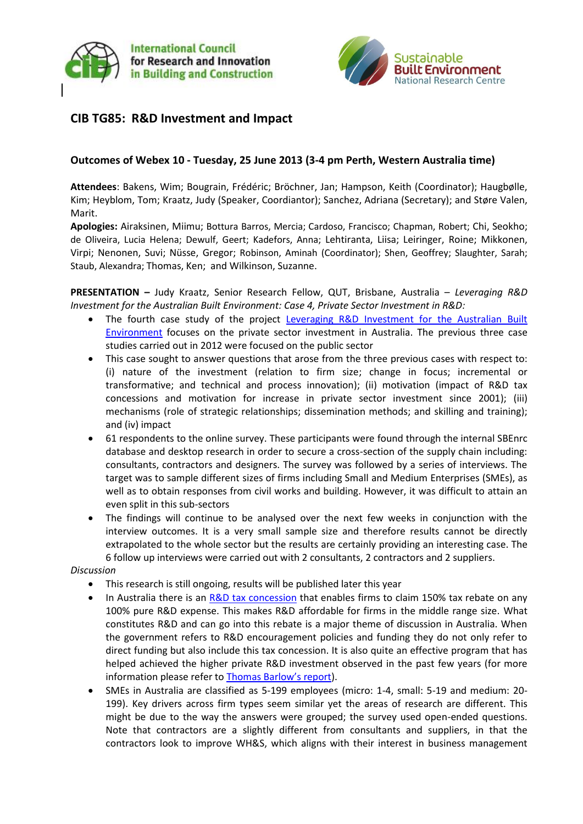



# **CIB TG85: R&D Investment and Impact**

### **Outcomes of Webex 10 - Tuesday, 25 June 2013 (3-4 pm Perth, Western Australia time)**

**Attendees**: Bakens, Wim; Bougrain, Frédéric; Bröchner, Jan; Hampson, Keith (Coordinator); Haugbølle, Kim; Heyblom, Tom; Kraatz, Judy (Speaker, Coordiantor); Sanchez, Adriana (Secretary); and Støre Valen, Marit.

**Apologies:** Airaksinen, Miimu; Bottura Barros, Mercia; Cardoso, Francisco; Chapman, Robert; Chi, Seokho; de Oliveira, Lucia Helena; Dewulf, Geert; Kadefors, Anna; Lehtiranta, Liisa; Leiringer, Roine; Mikkonen, Virpi; Nenonen, Suvi; Nüsse, Gregor; Robinson, Aminah (Coordinator); Shen, Geoffrey; Slaughter, Sarah; Staub, Alexandra; Thomas, Ken; and Wilkinson, Suzanne.

**PRESENTATION –** Judy Kraatz, Senior Research Fellow, QUT, Brisbane, Australia – *Leveraging R&D Investment for the Australian Built Environment: Case 4, Private Sector Investment in R&D:*

- The fourth case study of the project Leveraging R&D Investment for the Australian Built [Environment](http://www.sbenrc.com.au/research/people-processes-and-procurement/leveraging-rad-for-the-australian-built-environment) focuses on the private sector investment in Australia. The previous three case studies carried out in 2012 were focused on the public sector
- This case sought to answer questions that arose from the three previous cases with respect to: (i) nature of the investment (relation to firm size; change in focus; incremental or transformative; and technical and process innovation); (ii) motivation (impact of R&D tax concessions and motivation for increase in private sector investment since 2001); (iii) mechanisms (role of strategic relationships; dissemination methods; and skilling and training); and (iv) impact
- 61 respondents to the online survey. These participants were found through the internal SBEnrc database and desktop research in order to secure a cross-section of the supply chain including: consultants, contractors and designers. The survey was followed by a series of interviews. The target was to sample different sizes of firms including Small and Medium Enterprises (SMEs), as well as to obtain responses from civil works and building. However, it was difficult to attain an even split in this sub-sectors
- The findings will continue to be analysed over the next few weeks in conjunction with the interview outcomes. It is a very small sample size and therefore results cannot be directly extrapolated to the whole sector but the results are certainly providing an interesting case. The 6 follow up interviews were carried out with 2 consultants, 2 contractors and 2 suppliers.

#### *Discussion*

- This research is still ongoing, results will be published later this year
- In Australia there is an [R&D tax concession](http://www.ausindustry.gov.au/programs/innovation-rd/RD-TaxIncentive/Pages/default.aspx) that enables firms to claim 150% tax rebate on any 100% pure R&D expense. This makes R&D affordable for firms in the middle range size. What constitutes R&D and can go into this rebate is a major theme of discussion in Australia. When the government refers to R&D encouragement policies and funding they do not only refer to direct funding but also include this tax concession. It is also quite an effective program that has helped achieved the higher private R&D investment observed in the past few years (for more information please refer to Thom[as Barlow's report](http://www.sbenrc.com.au/images/stories/BUILT_ENVIRONMENT_RD_2012_latest_report.pdf)).
- SMEs in Australia are classified as 5-199 employees (micro: 1-4, small: 5-19 and medium: 20- 199). Key drivers across firm types seem similar yet the areas of research are different. This might be due to the way the answers were grouped; the survey used open-ended questions. Note that contractors are a slightly different from consultants and suppliers, in that the contractors look to improve WH&S, which aligns with their interest in business management